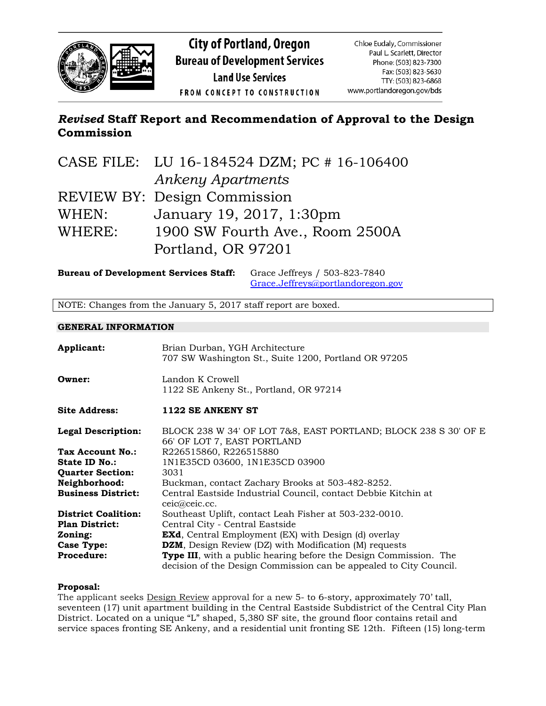

# *Revised* **Staff Report and Recommendation of Approval to the Design Commission**

|        | CASE FILE: LU 16-184524 DZM; PC # 16-106400 |
|--------|---------------------------------------------|
|        | <b>Ankeny Apartments</b>                    |
|        | <b>REVIEW BY: Design Commission</b>         |
| WHEN:  | January 19, 2017, 1:30pm                    |
| WHERE: | 1900 SW Fourth Ave., Room 2500A             |
|        | Portland, OR 97201                          |

**Bureau of Development Services Staff:** Grace Jeffreys / 503-823-7840 [Grace.Jeffreys@portlandoregon.gov](mailto:Grace.Jeffreys@portlandoregon.gov)

NOTE: Changes from the January 5, 2017 staff report are boxed.

#### **GENERAL INFORMATION**

| Applicant:                 | Brian Durban, YGH Architecture<br>707 SW Washington St., Suite 1200, Portland OR 97205                                                          |
|----------------------------|-------------------------------------------------------------------------------------------------------------------------------------------------|
| Owner:                     | Landon K Crowell<br>1122 SE Ankeny St., Portland, OR 97214                                                                                      |
| <b>Site Address:</b>       | 1122 SE ANKENY ST                                                                                                                               |
| <b>Legal Description:</b>  | BLOCK 238 W 34' OF LOT 7&8, EAST PORTLAND; BLOCK 238 S 30' OF E<br>66' OF LOT 7, EAST PORTLAND                                                  |
| Tax Account No.:           | R226515860, R226515880                                                                                                                          |
| State ID No.:              | 1N1E35CD 03600, 1N1E35CD 03900                                                                                                                  |
| <b>Quarter Section:</b>    | 3031                                                                                                                                            |
| Neighborhood:              | Buckman, contact Zachary Brooks at 503-482-8252.                                                                                                |
| <b>Business District:</b>  | Central Eastside Industrial Council, contact Debbie Kitchin at<br>ceic@ceic.cc.                                                                 |
| <b>District Coalition:</b> | Southeast Uplift, contact Leah Fisher at 503-232-0010.                                                                                          |
| <b>Plan District:</b>      | Central City - Central Eastside                                                                                                                 |
| Zoning:                    | <b>EXd</b> , Central Employment (EX) with Design (d) overlay                                                                                    |
| <b>Case Type:</b>          | <b>DZM</b> , Design Review (DZ) with Modification (M) requests                                                                                  |
| <b>Procedure:</b>          | <b>Type III</b> , with a public hearing before the Design Commission. The<br>decision of the Design Commission can be appealed to City Council. |

#### **Proposal:**

The applicant seeks **Design Review** approval for a new 5- to 6-story, approximately 70' tall, seventeen (17) unit apartment building in the Central Eastside Subdistrict of the Central City Plan District. Located on a unique "L" shaped, 5,380 SF site, the ground floor contains retail and service spaces fronting SE Ankeny, and a residential unit fronting SE 12th. Fifteen (15) long-term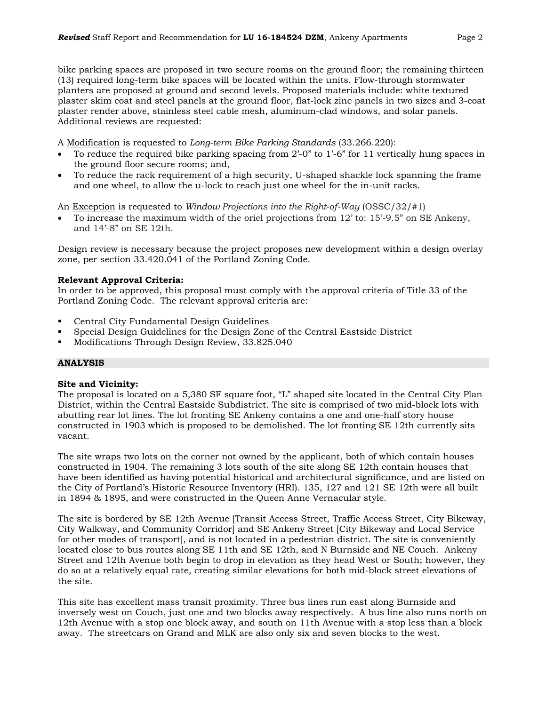bike parking spaces are proposed in two secure rooms on the ground floor; the remaining thirteen (13) required long-term bike spaces will be located within the units. Flow-through stormwater planters are proposed at ground and second levels. Proposed materials include: white textured plaster skim coat and steel panels at the ground floor, flat-lock zinc panels in two sizes and 3-coat plaster render above, stainless steel cable mesh, aluminum-clad windows, and solar panels. Additional reviews are requested:

A Modification is requested to *Long-term Bike Parking Standards* (33.266.220):

- To reduce the required bike parking spacing from 2'-0" to 1'-6" for 11 vertically hung spaces in the ground floor secure rooms; and,
- To reduce the rack requirement of a high security, U-shaped shackle lock spanning the frame and one wheel, to allow the u-lock to reach just one wheel for the in-unit racks.

An Exception is requested to *Window Projections into the Right-of-Way* (OSSC/32/#1)

• To increase the maximum width of the oriel projections from 12' to: 15'-9.5" on SE Ankeny, and 14'-8" on SE 12th.

Design review is necessary because the project proposes new development within a design overlay zone, per section 33.420.041 of the Portland Zoning Code.

#### **Relevant Approval Criteria:**

In order to be approved, this proposal must comply with the approval criteria of Title 33 of the Portland Zoning Code. The relevant approval criteria are:

- Central City Fundamental Design Guidelines
- Special Design Guidelines for the Design Zone of the Central Eastside District
- Modifications Through Design Review, 33.825.040

# **ANALYSIS**

#### **Site and Vicinity:**

The proposal is located on a 5,380 SF square foot, "L" shaped site located in the Central City Plan District, within the Central Eastside Subdistrict. The site is comprised of two mid-block lots with abutting rear lot lines. The lot fronting SE Ankeny contains a one and one-half story house constructed in 1903 which is proposed to be demolished. The lot fronting SE 12th currently sits vacant.

The site wraps two lots on the corner not owned by the applicant, both of which contain houses constructed in 1904. The remaining 3 lots south of the site along SE 12th contain houses that have been identified as having potential historical and architectural significance, and are listed on the City of Portland's Historic Resource Inventory (HRI). 135, 127 and 121 SE 12th were all built in 1894 & 1895, and were constructed in the Queen Anne Vernacular style.

The site is bordered by SE 12th Avenue [Transit Access Street, Traffic Access Street, City Bikeway, City Walkway, and Community Corridor] and SE Ankeny Street [City Bikeway and Local Service for other modes of transport], and is not located in a pedestrian district. The site is conveniently located close to bus routes along SE 11th and SE 12th, and N Burnside and NE Couch. Ankeny Street and 12th Avenue both begin to drop in elevation as they head West or South; however, they do so at a relatively equal rate, creating similar elevations for both mid-block street elevations of the site.

This site has excellent mass transit proximity. Three bus lines run east along Burnside and inversely west on Couch, just one and two blocks away respectively. A bus line also runs north on 12th Avenue with a stop one block away, and south on 11th Avenue with a stop less than a block away. The streetcars on Grand and MLK are also only six and seven blocks to the west.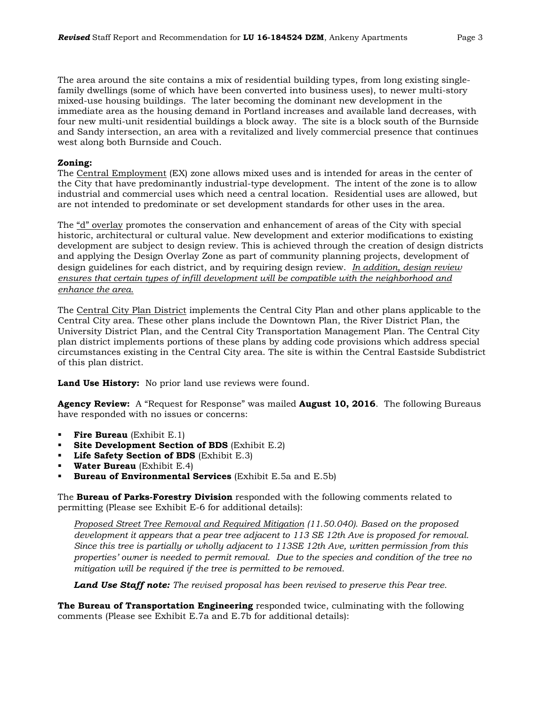The area around the site contains a mix of residential building types, from long existing singlefamily dwellings (some of which have been converted into business uses), to newer multi-story mixed-use housing buildings. The later becoming the dominant new development in the immediate area as the housing demand in Portland increases and available land decreases, with four new multi-unit residential buildings a block away. The site is a block south of the Burnside and Sandy intersection, an area with a revitalized and lively commercial presence that continues west along both Burnside and Couch.

#### **Zoning:**

The Central Employment (EX) zone allows mixed uses and is intended for areas in the center of the City that have predominantly industrial-type development. The intent of the zone is to allow industrial and commercial uses which need a central location. Residential uses are allowed, but are not intended to predominate or set development standards for other uses in the area.

The "d" overlay promotes the conservation and enhancement of areas of the City with special historic, architectural or cultural value. New development and exterior modifications to existing development are subject to design review. This is achieved through the creation of design districts and applying the Design Overlay Zone as part of community planning projects, development of design guidelines for each district, and by requiring design review. *In addition, design review ensures that certain types of infill development will be compatible with the neighborhood and enhance the area.*

The Central City Plan District implements the Central City Plan and other plans applicable to the Central City area. These other plans include the Downtown Plan, the River District Plan, the University District Plan, and the Central City Transportation Management Plan. The Central City plan district implements portions of these plans by adding code provisions which address special circumstances existing in the Central City area. The site is within the Central Eastside Subdistrict of this plan district.

**Land Use History:** No prior land use reviews were found.

**Agency Review:** A "Request for Response" was mailed **August 10, 2016**. The following Bureaus have responded with no issues or concerns:

- **Fire Bureau** (Exhibit E.1)
- **Site Development Section of BDS** (Exhibit E.2)
- **Life Safety Section of BDS** (Exhibit E.3)
- **Water Bureau** (Exhibit E.4)
- **Bureau of Environmental Services** (Exhibit E.5a and E.5b)

The **Bureau of Parks-Forestry Division** responded with the following comments related to permitting (Please see Exhibit E-6 for additional details):

*Proposed Street Tree Removal and Required Mitigation (11.50.040). Based on the proposed development it appears that a pear tree adjacent to 113 SE 12th Ave is proposed for removal. Since this tree is partially or wholly adjacent to 113SE 12th Ave, written permission from this properties' owner is needed to permit removal. Due to the species and condition of the tree no mitigation will be required if the tree is permitted to be removed.* 

*Land Use Staff note: The revised proposal has been revised to preserve this Pear tree.*

**The Bureau of Transportation Engineering** responded twice, culminating with the following comments (Please see Exhibit E.7a and E.7b for additional details):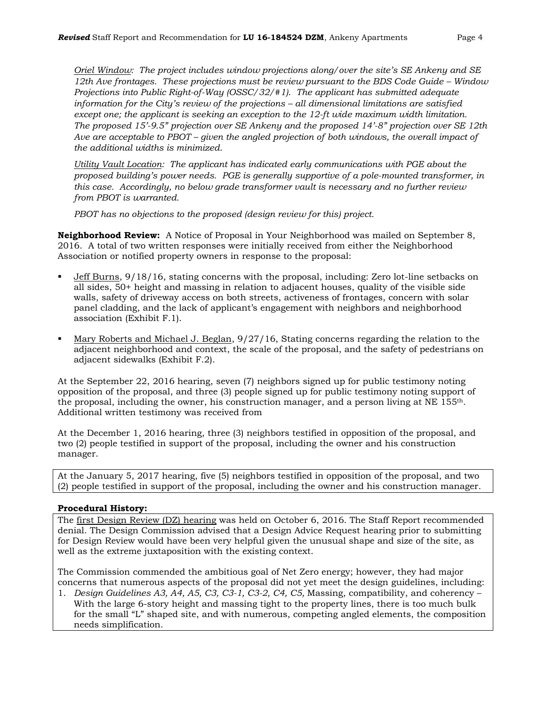*Oriel Window: The project includes window projections along/over the site's SE Ankeny and SE 12th Ave frontages. These projections must be review pursuant to the BDS Code Guide – Window Projections into Public Right-of-Way (OSSC/32/#1). The applicant has submitted adequate information for the City's review of the projections – all dimensional limitations are satisfied except one; the applicant is seeking an exception to the 12-ft wide maximum width limitation. The proposed 15'-9.5" projection over SE Ankeny and the proposed 14'-8" projection over SE 12th*  Ave are acceptable to PBOT – *given the angled projection of both windows, the overall impact of the additional widths is minimized.*

*Utility Vault Location: The applicant has indicated early communications with PGE about the proposed building's power needs. PGE is generally supportive of a pole-mounted transformer, in this case. Accordingly, no below grade transformer vault is necessary and no further review from PBOT is warranted.*

*PBOT has no objections to the proposed (design review for this) project.* 

**Neighborhood Review:** A Notice of Proposal in Your Neighborhood was mailed on September 8, 2016. A total of two written responses were initially received from either the Neighborhood Association or notified property owners in response to the proposal:

- Jeff Burns, 9/18/16, stating concerns with the proposal, including: Zero lot-line setbacks on all sides, 50+ height and massing in relation to adjacent houses, quality of the visible side walls, safety of driveway access on both streets, activeness of frontages, concern with solar panel cladding, and the lack of applicant's engagement with neighbors and neighborhood association (Exhibit F.1).
- Mary Roberts and Michael J. Beglan, 9/27/16, Stating concerns regarding the relation to the adjacent neighborhood and context, the scale of the proposal, and the safety of pedestrians on adjacent sidewalks (Exhibit F.2).

At the September 22, 2016 hearing, seven (7) neighbors signed up for public testimony noting opposition of the proposal, and three (3) people signed up for public testimony noting support of the proposal, including the owner, his construction manager, and a person living at NE  $155<sup>th</sup>$ . Additional written testimony was received from

At the December 1, 2016 hearing, three (3) neighbors testified in opposition of the proposal, and two (2) people testified in support of the proposal, including the owner and his construction manager.

At the January 5, 2017 hearing, five (5) neighbors testified in opposition of the proposal, and two (2) people testified in support of the proposal, including the owner and his construction manager.

# **Procedural History:**

The first Design Review (DZ) hearing was held on October 6, 2016. The Staff Report recommended denial. The Design Commission advised that a Design Advice Request hearing prior to submitting for Design Review would have been very helpful given the unusual shape and size of the site, as well as the extreme juxtaposition with the existing context.

The Commission commended the ambitious goal of Net Zero energy; however, they had major concerns that numerous aspects of the proposal did not yet meet the design guidelines, including:

1. *Design Guidelines A3, A4, A5, C3, C3-1, C3-2, C4, C5,* Massing, compatibility, and coherency – With the large 6-story height and massing tight to the property lines, there is too much bulk for the small "L" shaped site, and with numerous, competing angled elements, the composition needs simplification.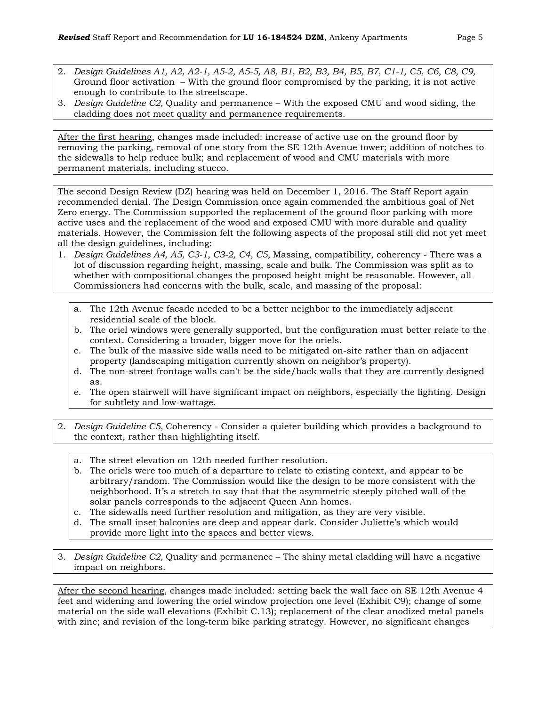- 
- 2. *Design Guidelines A1, A2, A2-1, A5-2, A5-5, A8, B1, B2, B3, B4, B5, B7, C1-1, C5, C6, C8, C9,*  Ground floor activation – With the ground floor compromised by the parking, it is not active enough to contribute to the streetscape.
- 3. *Design Guideline C2,* Quality and permanence With the exposed CMU and wood siding, the cladding does not meet quality and permanence requirements.

After the first hearing, changes made included: increase of active use on the ground floor by removing the parking, removal of one story from the SE 12th Avenue tower; addition of notches to the sidewalls to help reduce bulk; and replacement of wood and CMU materials with more permanent materials, including stucco.

The second Design Review (DZ) hearing was held on December 1, 2016. The Staff Report again recommended denial. The Design Commission once again commended the ambitious goal of Net Zero energy. The Commission supported the replacement of the ground floor parking with more active uses and the replacement of the wood and exposed CMU with more durable and quality materials. However, the Commission felt the following aspects of the proposal still did not yet meet all the design guidelines, including:

- 1. *Design Guidelines A4, A5, C3-1, C3-2, C4, C5,* Massing, compatibility, coherency There was a lot of discussion regarding height, massing, scale and bulk. The Commission was split as to whether with compositional changes the proposed height might be reasonable. However, all Commissioners had concerns with the bulk, scale, and massing of the proposal:
	- a. The 12th Avenue facade needed to be a better neighbor to the immediately adjacent residential scale of the block.
	- b. The oriel windows were generally supported, but the configuration must better relate to the context. Considering a broader, bigger move for the oriels.
	- c. The bulk of the massive side walls need to be mitigated on-site rather than on adjacent property (landscaping mitigation currently shown on neighbor's property).
	- d. The non-street frontage walls can't be the side/back walls that they are currently designed as.
	- e. The open stairwell will have significant impact on neighbors, especially the lighting. Design for subtlety and low-wattage.
- 2. *Design Guideline C5,* Coherency Consider a quieter building which provides a background to the context, rather than highlighting itself.
	- a. The street elevation on 12th needed further resolution.
	- b. The oriels were too much of a departure to relate to existing context, and appear to be arbitrary/random. The Commission would like the design to be more consistent with the neighborhood. It's a stretch to say that that the asymmetric steeply pitched wall of the solar panels corresponds to the adjacent Queen Ann homes.
	- c. The sidewalls need further resolution and mitigation, as they are very visible.
	- d. The small inset balconies are deep and appear dark. Consider Juliette's which would provide more light into the spaces and better views.

3. *Design Guideline C2,* Quality and permanence – The shiny metal cladding will have a negative impact on neighbors.

After the second hearing, changes made included: setting back the wall face on SE 12th Avenue 4 feet and widening and lowering the oriel window projection one level (Exhibit C9); change of some material on the side wall elevations (Exhibit C.13); replacement of the clear anodized metal panels with zinc; and revision of the long-term bike parking strategy. However, no significant changes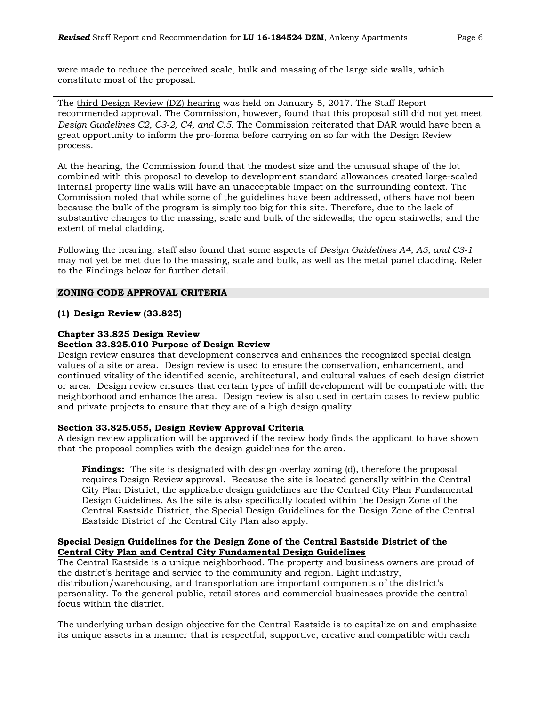were made to reduce the perceived scale, bulk and massing of the large side walls, which constitute most of the proposal.

The third Design Review (DZ) hearing was held on January 5, 2017. The Staff Report recommended approval. The Commission, however, found that this proposal still did not yet meet *Design Guidelines C2, C3-2, C4, and C.5.* The Commission reiterated that DAR would have been a great opportunity to inform the pro-forma before carrying on so far with the Design Review process.

At the hearing, the Commission found that the modest size and the unusual shape of the lot combined with this proposal to develop to development standard allowances created large-scaled internal property line walls will have an unacceptable impact on the surrounding context. The Commission noted that while some of the guidelines have been addressed, others have not been because the bulk of the program is simply too big for this site. Therefore, due to the lack of substantive changes to the massing, scale and bulk of the sidewalls; the open stairwells; and the extent of metal cladding.

Following the hearing, staff also found that some aspects of *Design Guidelines A4, A5, and C3-1* may not yet be met due to the massing, scale and bulk, as well as the metal panel cladding. Refer to the Findings below for further detail.

#### **ZONING CODE APPROVAL CRITERIA**

#### **(1) Design Review (33.825)**

#### **Chapter 33.825 Design Review**

#### **Section 33.825.010 Purpose of Design Review**

Design review ensures that development conserves and enhances the recognized special design values of a site or area. Design review is used to ensure the conservation, enhancement, and continued vitality of the identified scenic, architectural, and cultural values of each design district or area. Design review ensures that certain types of infill development will be compatible with the neighborhood and enhance the area. Design review is also used in certain cases to review public and private projects to ensure that they are of a high design quality.

#### **Section 33.825.055, Design Review Approval Criteria**

A design review application will be approved if the review body finds the applicant to have shown that the proposal complies with the design guidelines for the area.

**Findings:** The site is designated with design overlay zoning (d), therefore the proposal requires Design Review approval. Because the site is located generally within the Central City Plan District, the applicable design guidelines are the Central City Plan Fundamental Design Guidelines. As the site is also specifically located within the Design Zone of the Central Eastside District, the Special Design Guidelines for the Design Zone of the Central Eastside District of the Central City Plan also apply.

#### **Special Design Guidelines for the Design Zone of the Central Eastside District of the Central City Plan and Central City Fundamental Design Guidelines**

The Central Eastside is a unique neighborhood. The property and business owners are proud of the district's heritage and service to the community and region. Light industry, distribution/warehousing, and transportation are important components of the district's personality. To the general public, retail stores and commercial businesses provide the central focus within the district.

The underlying urban design objective for the Central Eastside is to capitalize on and emphasize its unique assets in a manner that is respectful, supportive, creative and compatible with each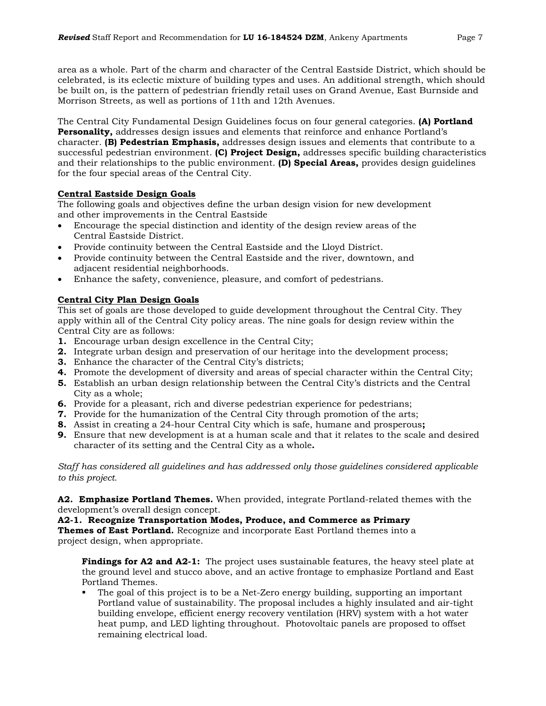area as a whole. Part of the charm and character of the Central Eastside District, which should be celebrated, is its eclectic mixture of building types and uses. An additional strength, which should be built on, is the pattern of pedestrian friendly retail uses on Grand Avenue, East Burnside and Morrison Streets, as well as portions of 11th and 12th Avenues.

The Central City Fundamental Design Guidelines focus on four general categories. **(A) Portland Personality,** addresses design issues and elements that reinforce and enhance Portland's character. **(B) Pedestrian Emphasis,** addresses design issues and elements that contribute to a successful pedestrian environment. **(C) Project Design,** addresses specific building characteristics and their relationships to the public environment. **(D) Special Areas,** provides design guidelines for the four special areas of the Central City.

# **Central Eastside Design Goals**

The following goals and objectives define the urban design vision for new development and other improvements in the Central Eastside

- Encourage the special distinction and identity of the design review areas of the Central Eastside District.
- Provide continuity between the Central Eastside and the Lloyd District.
- Provide continuity between the Central Eastside and the river, downtown, and adjacent residential neighborhoods.
- Enhance the safety, convenience, pleasure, and comfort of pedestrians.

# **Central City Plan Design Goals**

This set of goals are those developed to guide development throughout the Central City. They apply within all of the Central City policy areas. The nine goals for design review within the Central City are as follows:

- **1.** Encourage urban design excellence in the Central City;
- **2.** Integrate urban design and preservation of our heritage into the development process;
- **3.** Enhance the character of the Central City's districts;
- **4.** Promote the development of diversity and areas of special character within the Central City;
- **5.** Establish an urban design relationship between the Central City's districts and the Central City as a whole;
- **6.** Provide for a pleasant, rich and diverse pedestrian experience for pedestrians;
- **7.** Provide for the humanization of the Central City through promotion of the arts;
- **8.** Assist in creating a 24-hour Central City which is safe, humane and prosperous**;**
- **9.** Ensure that new development is at a human scale and that it relates to the scale and desired character of its setting and the Central City as a whole**.**

*Staff has considered all guidelines and has addressed only those guidelines considered applicable to this project.*

**A2. Emphasize Portland Themes.** When provided, integrate Portland-related themes with the development's overall design concept.

**A2-1. Recognize Transportation Modes, Produce, and Commerce as Primary** 

**Themes of East Portland.** Recognize and incorporate East Portland themes into a project design, when appropriate.

**Findings for A2 and A2-1:** The project uses sustainable features, the heavy steel plate at the ground level and stucco above, and an active frontage to emphasize Portland and East Portland Themes.

 The goal of this project is to be a Net-Zero energy building, supporting an important Portland value of sustainability. The proposal includes a highly insulated and air-tight building envelope, efficient energy recovery ventilation (HRV) system with a hot water heat pump, and LED lighting throughout. Photovoltaic panels are proposed to offset remaining electrical load.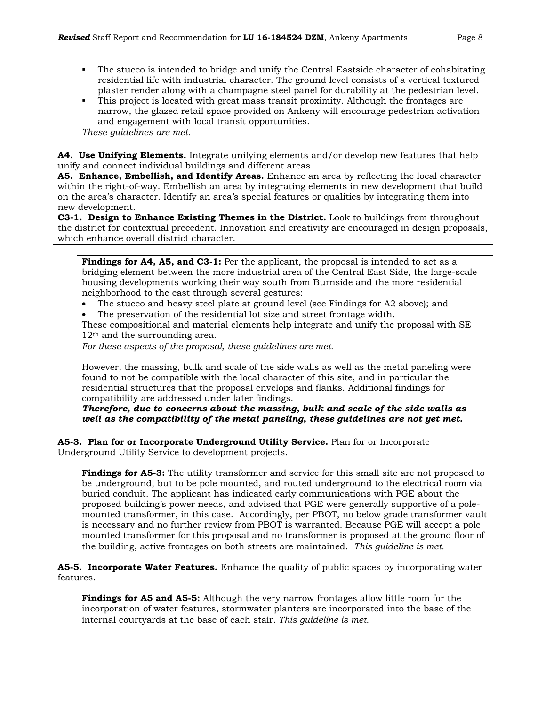- The stucco is intended to bridge and unify the Central Eastside character of cohabitating residential life with industrial character. The ground level consists of a vertical textured plaster render along with a champagne steel panel for durability at the pedestrian level.
- This project is located with great mass transit proximity. Although the frontages are narrow, the glazed retail space provided on Ankeny will encourage pedestrian activation and engagement with local transit opportunities.

*These guidelines are met.*

**A4. Use Unifying Elements.** Integrate unifying elements and/or develop new features that help unify and connect individual buildings and different areas.

**A5. Enhance, Embellish, and Identify Areas.** Enhance an area by reflecting the local character within the right-of-way. Embellish an area by integrating elements in new development that build on the area's character. Identify an area's special features or qualities by integrating them into new development.

**C3-1. Design to Enhance Existing Themes in the District.** Look to buildings from throughout the district for contextual precedent. Innovation and creativity are encouraged in design proposals, which enhance overall district character.

**Findings for A4, A5, and C3-1:** Per the applicant, the proposal is intended to act as a bridging element between the more industrial area of the Central East Side, the large-scale housing developments working their way south from Burnside and the more residential neighborhood to the east through several gestures:

- The stucco and heavy steel plate at ground level (see Findings for A2 above); and
- The preservation of the residential lot size and street frontage width.

These compositional and material elements help integrate and unify the proposal with SE 12<sup>th</sup> and the surrounding area.

*For these aspects of the proposal, these guidelines are met.*

However, the massing, bulk and scale of the side walls as well as the metal paneling were found to not be compatible with the local character of this site, and in particular the residential structures that the proposal envelops and flanks. Additional findings for compatibility are addressed under later findings.

*Therefore, due to concerns about the massing, bulk and scale of the side walls as well as the compatibility of the metal paneling, these guidelines are not yet met.*

**A5-3. Plan for or Incorporate Underground Utility Service.** Plan for or Incorporate Underground Utility Service to development projects.

**Findings for A5-3:** The utility transformer and service for this small site are not proposed to be underground, but to be pole mounted, and routed underground to the electrical room via buried conduit. The applicant has indicated early communications with PGE about the proposed building's power needs, and advised that PGE were generally supportive of a polemounted transformer, in this case. Accordingly, per PBOT, no below grade transformer vault is necessary and no further review from PBOT is warranted. Because PGE will accept a pole mounted transformer for this proposal and no transformer is proposed at the ground floor of the building, active frontages on both streets are maintained. *This guideline is met.*

**A5-5. Incorporate Water Features.** Enhance the quality of public spaces by incorporating water features.

**Findings for A5 and A5-5:** Although the very narrow frontages allow little room for the incorporation of water features, stormwater planters are incorporated into the base of the internal courtyards at the base of each stair. *This guideline is met.*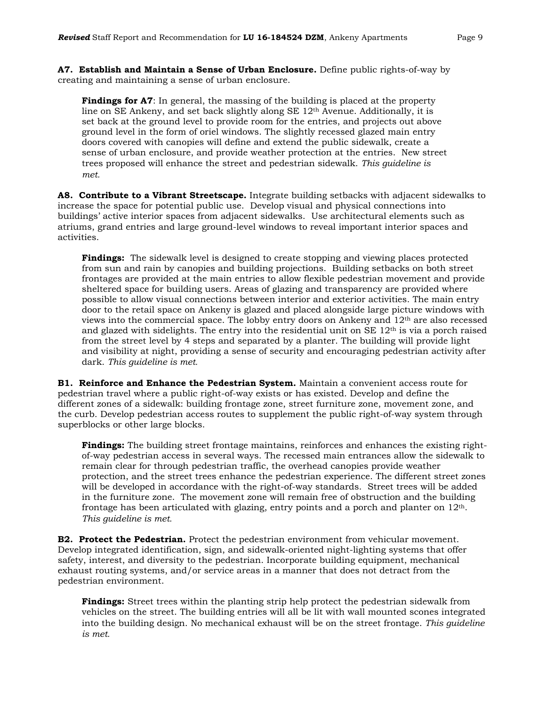**A7. Establish and Maintain a Sense of Urban Enclosure.** Define public rights-of-way by creating and maintaining a sense of urban enclosure.

**Findings for A7**: In general, the massing of the building is placed at the property line on SE Ankeny, and set back slightly along SE  $12<sup>th</sup>$  Avenue. Additionally, it is set back at the ground level to provide room for the entries, and projects out above ground level in the form of oriel windows. The slightly recessed glazed main entry doors covered with canopies will define and extend the public sidewalk, create a sense of urban enclosure, and provide weather protection at the entries. New street trees proposed will enhance the street and pedestrian sidewalk. *This guideline is met.*

**A8. Contribute to a Vibrant Streetscape.** Integrate building setbacks with adjacent sidewalks to increase the space for potential public use. Develop visual and physical connections into buildings' active interior spaces from adjacent sidewalks. Use architectural elements such as atriums, grand entries and large ground-level windows to reveal important interior spaces and activities.

**Findings:** The sidewalk level is designed to create stopping and viewing places protected from sun and rain by canopies and building projections. Building setbacks on both street frontages are provided at the main entries to allow flexible pedestrian movement and provide sheltered space for building users. Areas of glazing and transparency are provided where possible to allow visual connections between interior and exterior activities. The main entry door to the retail space on Ankeny is glazed and placed alongside large picture windows with views into the commercial space. The lobby entry doors on Ankeny and  $12<sup>th</sup>$  are also recessed and glazed with sidelights. The entry into the residential unit on  $SE 12<sup>th</sup>$  is via a porch raised from the street level by 4 steps and separated by a planter. The building will provide light and visibility at night, providing a sense of security and encouraging pedestrian activity after dark. *This guideline is met.*

**B1. Reinforce and Enhance the Pedestrian System.** Maintain a convenient access route for pedestrian travel where a public right-of-way exists or has existed. Develop and define the different zones of a sidewalk: building frontage zone, street furniture zone, movement zone, and the curb. Develop pedestrian access routes to supplement the public right-of-way system through superblocks or other large blocks.

**Findings:** The building street frontage maintains, reinforces and enhances the existing rightof-way pedestrian access in several ways. The recessed main entrances allow the sidewalk to remain clear for through pedestrian traffic, the overhead canopies provide weather protection, and the street trees enhance the pedestrian experience. The different street zones will be developed in accordance with the right-of-way standards. Street trees will be added in the furniture zone. The movement zone will remain free of obstruction and the building frontage has been articulated with glazing, entry points and a porch and planter on  $12<sup>th</sup>$ . *This guideline is met.*

**B2. Protect the Pedestrian.** Protect the pedestrian environment from vehicular movement. Develop integrated identification, sign, and sidewalk-oriented night-lighting systems that offer safety, interest, and diversity to the pedestrian. Incorporate building equipment, mechanical exhaust routing systems, and/or service areas in a manner that does not detract from the pedestrian environment.

**Findings:** Street trees within the planting strip help protect the pedestrian sidewalk from vehicles on the street. The building entries will all be lit with wall mounted scones integrated into the building design. No mechanical exhaust will be on the street frontage. *This guideline is met.*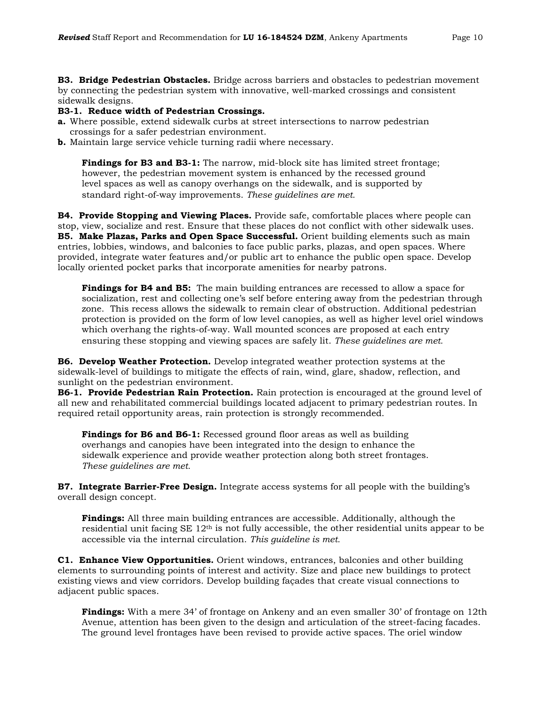**B3. Bridge Pedestrian Obstacles.** Bridge across barriers and obstacles to pedestrian movement by connecting the pedestrian system with innovative, well-marked crossings and consistent sidewalk designs.

#### **B3-1. Reduce width of Pedestrian Crossings.**

- **a.** Where possible, extend sidewalk curbs at street intersections to narrow pedestrian crossings for a safer pedestrian environment.
- **b.** Maintain large service vehicle turning radii where necessary.

**Findings for B3 and B3-1:** The narrow, mid-block site has limited street frontage; however, the pedestrian movement system is enhanced by the recessed ground level spaces as well as canopy overhangs on the sidewalk, and is supported by standard right-of-way improvements. *These guidelines are met.*

**B4. Provide Stopping and Viewing Places.** Provide safe, comfortable places where people can stop, view, socialize and rest. Ensure that these places do not conflict with other sidewalk uses. **B5. Make Plazas, Parks and Open Space Successful.** Orient building elements such as main entries, lobbies, windows, and balconies to face public parks, plazas, and open spaces. Where provided, integrate water features and/or public art to enhance the public open space. Develop locally oriented pocket parks that incorporate amenities for nearby patrons.

**Findings for B4 and B5:** The main building entrances are recessed to allow a space for socialization, rest and collecting one's self before entering away from the pedestrian through zone. This recess allows the sidewalk to remain clear of obstruction. Additional pedestrian protection is provided on the form of low level canopies, as well as higher level oriel windows which overhang the rights-of-way. Wall mounted sconces are proposed at each entry ensuring these stopping and viewing spaces are safely lit. *These guidelines are met.*

**B6. Develop Weather Protection.** Develop integrated weather protection systems at the sidewalk-level of buildings to mitigate the effects of rain, wind, glare, shadow, reflection, and sunlight on the pedestrian environment.

**B6-1. Provide Pedestrian Rain Protection.** Rain protection is encouraged at the ground level of all new and rehabilitated commercial buildings located adjacent to primary pedestrian routes. In required retail opportunity areas, rain protection is strongly recommended.

Findings for B6 and B6-1: Recessed ground floor areas as well as building overhangs and canopies have been integrated into the design to enhance the sidewalk experience and provide weather protection along both street frontages. *These guidelines are met.*

**B7. Integrate Barrier-Free Design.** Integrate access systems for all people with the building's overall design concept.

**Findings:** All three main building entrances are accessible. Additionally, although the residential unit facing SE  $12<sup>th</sup>$  is not fully accessible, the other residential units appear to be accessible via the internal circulation. *This guideline is met.*

**C1. Enhance View Opportunities.** Orient windows, entrances, balconies and other building elements to surrounding points of interest and activity. Size and place new buildings to protect existing views and view corridors. Develop building façades that create visual connections to adjacent public spaces.

**Findings:** With a mere 34' of frontage on Ankeny and an even smaller 30' of frontage on 12th Avenue, attention has been given to the design and articulation of the street-facing facades. The ground level frontages have been revised to provide active spaces. The oriel window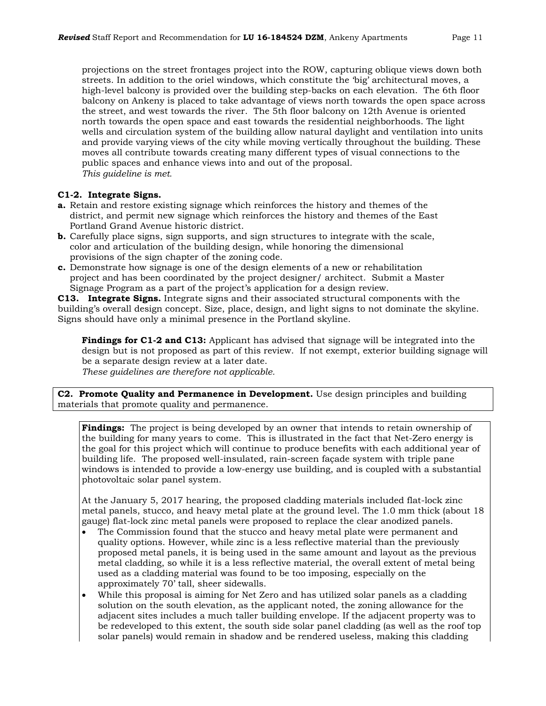projections on the street frontages project into the ROW, capturing oblique views down both streets. In addition to the oriel windows, which constitute the 'big' architectural moves, a high-level balcony is provided over the building step-backs on each elevation. The 6th floor balcony on Ankeny is placed to take advantage of views north towards the open space across the street, and west towards the river. The 5th floor balcony on 12th Avenue is oriented north towards the open space and east towards the residential neighborhoods. The light wells and circulation system of the building allow natural daylight and ventilation into units and provide varying views of the city while moving vertically throughout the building. These moves all contribute towards creating many different types of visual connections to the public spaces and enhance views into and out of the proposal. *This guideline is met.*

#### **C1-2. Integrate Signs.**

- **a.** Retain and restore existing signage which reinforces the history and themes of the district, and permit new signage which reinforces the history and themes of the East Portland Grand Avenue historic district.
- **b.** Carefully place signs, sign supports, and sign structures to integrate with the scale, color and articulation of the building design, while honoring the dimensional provisions of the sign chapter of the zoning code.
- **c.** Demonstrate how signage is one of the design elements of a new or rehabilitation project and has been coordinated by the project designer/ architect. Submit a Master Signage Program as a part of the project's application for a design review.

**C13. Integrate Signs.** Integrate signs and their associated structural components with the building's overall design concept. Size, place, design, and light signs to not dominate the skyline. Signs should have only a minimal presence in the Portland skyline.

**Findings for C1-2 and C13:** Applicant has advised that signage will be integrated into the design but is not proposed as part of this review. If not exempt, exterior building signage will be a separate design review at a later date.

*These guidelines are therefore not applicable.*

**C2. Promote Quality and Permanence in Development.** Use design principles and building materials that promote quality and permanence.

**Findings:** The project is being developed by an owner that intends to retain ownership of the building for many years to come. This is illustrated in the fact that Net-Zero energy is the goal for this project which will continue to produce benefits with each additional year of building life. The proposed well-insulated, rain-screen façade system with triple pane windows is intended to provide a low-energy use building, and is coupled with a substantial photovoltaic solar panel system.

At the January 5, 2017 hearing, the proposed cladding materials included flat-lock zinc metal panels, stucco, and heavy metal plate at the ground level. The 1.0 mm thick (about 18 gauge) flat-lock zinc metal panels were proposed to replace the clear anodized panels.

- The Commission found that the stucco and heavy metal plate were permanent and quality options. However, while zinc is a less reflective material than the previously proposed metal panels, it is being used in the same amount and layout as the previous metal cladding, so while it is a less reflective material, the overall extent of metal being used as a cladding material was found to be too imposing, especially on the approximately 70' tall, sheer sidewalls.
- While this proposal is aiming for Net Zero and has utilized solar panels as a cladding solution on the south elevation, as the applicant noted, the zoning allowance for the adjacent sites includes a much taller building envelope. If the adjacent property was to be redeveloped to this extent, the south side solar panel cladding (as well as the roof top solar panels) would remain in shadow and be rendered useless, making this cladding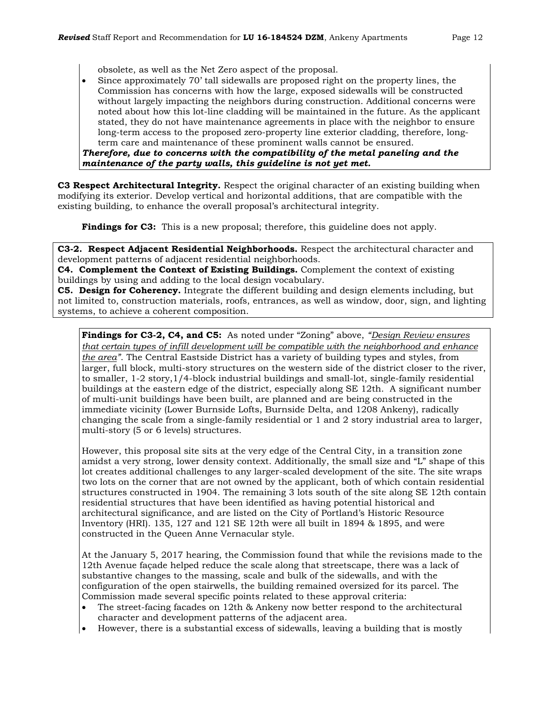obsolete, as well as the Net Zero aspect of the proposal.

• Since approximately 70' tall sidewalls are proposed right on the property lines, the Commission has concerns with how the large, exposed sidewalls will be constructed without largely impacting the neighbors during construction. Additional concerns were noted about how this lot-line cladding will be maintained in the future. As the applicant stated, they do not have maintenance agreements in place with the neighbor to ensure long-term access to the proposed zero-property line exterior cladding, therefore, longterm care and maintenance of these prominent walls cannot be ensured. *Therefore, due to concerns with the compatibility of the metal paneling and the maintenance of the party walls, this guideline is not yet met.* 

**C3 Respect Architectural Integrity.** Respect the original character of an existing building when modifying its exterior. Develop vertical and horizontal additions, that are compatible with the existing building, to enhance the overall proposal's architectural integrity.

**Findings for C3:** This is a new proposal; therefore, this guideline does not apply.

**C3-2. Respect Adjacent Residential Neighborhoods.** Respect the architectural character and development patterns of adjacent residential neighborhoods.

**C4. Complement the Context of Existing Buildings.** Complement the context of existing buildings by using and adding to the local design vocabulary.

**C5. Design for Coherency.** Integrate the different building and design elements including, but not limited to, construction materials, roofs, entrances, as well as window, door, sign, and lighting systems, to achieve a coherent composition.

**Findings for C3-2, C4, and C5:** As noted under "Zoning" above, *"Design Review ensures that certain types of infill development will be compatible with the neighborhood and enhance the area"*. The Central Eastside District has a variety of building types and styles, from larger, full block, multi-story structures on the western side of the district closer to the river, to smaller, 1-2 story,1/4-block industrial buildings and small-lot, single-family residential buildings at the eastern edge of the district, especially along SE 12th. A significant number of multi-unit buildings have been built, are planned and are being constructed in the immediate vicinity (Lower Burnside Lofts, Burnside Delta, and 1208 Ankeny), radically changing the scale from a single-family residential or 1 and 2 story industrial area to larger, multi-story (5 or 6 levels) structures.

However, this proposal site sits at the very edge of the Central City, in a transition zone amidst a very strong, lower density context. Additionally, the small size and "L" shape of this lot creates additional challenges to any larger-scaled development of the site. The site wraps two lots on the corner that are not owned by the applicant, both of which contain residential structures constructed in 1904. The remaining 3 lots south of the site along SE 12th contain residential structures that have been identified as having potential historical and architectural significance, and are listed on the City of Portland's Historic Resource Inventory (HRI). 135, 127 and 121 SE 12th were all built in 1894 & 1895, and were constructed in the Queen Anne Vernacular style.

At the January 5, 2017 hearing, the Commission found that while the revisions made to the 12th Avenue façade helped reduce the scale along that streetscape, there was a lack of substantive changes to the massing, scale and bulk of the sidewalls, and with the configuration of the open stairwells, the building remained oversized for its parcel. The Commission made several specific points related to these approval criteria:

- The street-facing facades on 12th & Ankeny now better respond to the architectural character and development patterns of the adjacent area.
- However, there is a substantial excess of sidewalls, leaving a building that is mostly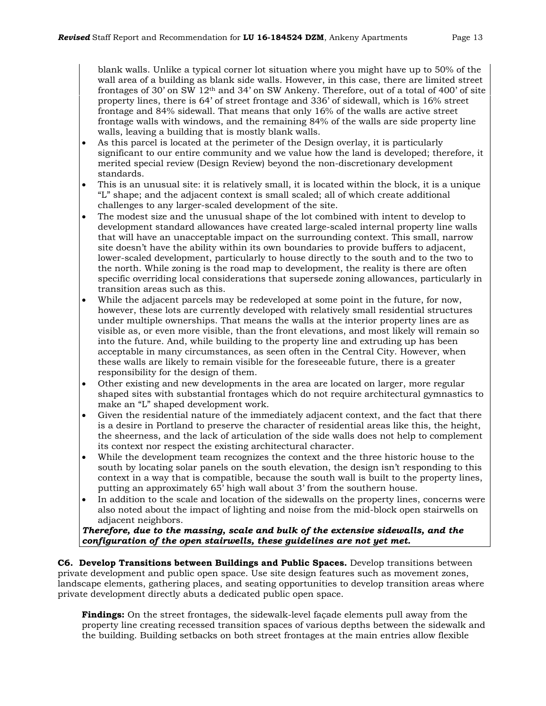blank walls. Unlike a typical corner lot situation where you might have up to 50% of the wall area of a building as blank side walls. However, in this case, there are limited street frontages of 30' on SW 12th and 34' on SW Ankeny. Therefore, out of a total of 400' of site property lines, there is 64' of street frontage and 336' of sidewall, which is 16% street frontage and 84% sidewall. That means that only 16% of the walls are active street frontage walls with windows, and the remaining 84% of the walls are side property line walls, leaving a building that is mostly blank walls.

- As this parcel is located at the perimeter of the Design overlay, it is particularly significant to our entire community and we value how the land is developed; therefore, it merited special review (Design Review) beyond the non-discretionary development standards.
- This is an unusual site: it is relatively small, it is located within the block, it is a unique "L" shape; and the adjacent context is small scaled; all of which create additional challenges to any larger-scaled development of the site.
- The modest size and the unusual shape of the lot combined with intent to develop to development standard allowances have created large-scaled internal property line walls that will have an unacceptable impact on the surrounding context. This small, narrow site doesn't have the ability within its own boundaries to provide buffers to adjacent, lower-scaled development, particularly to house directly to the south and to the two to the north. While zoning is the road map to development, the reality is there are often specific overriding local considerations that supersede zoning allowances, particularly in transition areas such as this.
- While the adjacent parcels may be redeveloped at some point in the future, for now, however, these lots are currently developed with relatively small residential structures under multiple ownerships. That means the walls at the interior property lines are as visible as, or even more visible, than the front elevations, and most likely will remain so into the future. And, while building to the property line and extruding up has been acceptable in many circumstances, as seen often in the Central City. However, when these walls are likely to remain visible for the foreseeable future, there is a greater responsibility for the design of them.
- Other existing and new developments in the area are located on larger, more regular shaped sites with substantial frontages which do not require architectural gymnastics to make an "L" shaped development work.
- Given the residential nature of the immediately adjacent context, and the fact that there is a desire in Portland to preserve the character of residential areas like this, the height, the sheerness, and the lack of articulation of the side walls does not help to complement its context nor respect the existing architectural character.
- While the development team recognizes the context and the three historic house to the south by locating solar panels on the south elevation, the design isn't responding to this context in a way that is compatible, because the south wall is built to the property lines, putting an approximately 65' high wall about 3' from the southern house.
- In addition to the scale and location of the sidewalls on the property lines, concerns were also noted about the impact of lighting and noise from the mid-block open stairwells on adjacent neighbors.

*Therefore, due to the massing, scale and bulk of the extensive sidewalls, and the configuration of the open stairwells, these guidelines are not yet met.*

**C6. Develop Transitions between Buildings and Public Spaces.** Develop transitions between private development and public open space. Use site design features such as movement zones, landscape elements, gathering places, and seating opportunities to develop transition areas where private development directly abuts a dedicated public open space.

**Findings:** On the street frontages, the sidewalk-level façade elements pull away from the property line creating recessed transition spaces of various depths between the sidewalk and the building. Building setbacks on both street frontages at the main entries allow flexible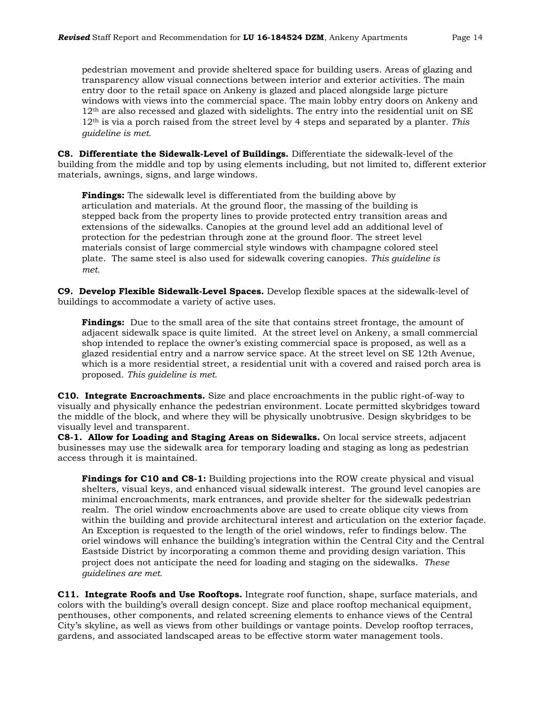pedestrian movement and provide sheltered space for building users. Areas of glazing and transparency allow visual connections between interior and exterior activities. The main entry door to the retail space on Ankeny is glazed and placed alongside large picture windows with views into the commercial space. The main lobby entry doors on Ankeny and 12<sup>th</sup> are also recessed and glazed with sidelights. The entry into the residential unit on SE 12th is via a porch raised from the street level by 4 steps and separated by a planter. *This guideline is met.*

**C8. Differentiate the Sidewalk-Level of Buildings.** Differentiate the sidewalk-level of the building from the middle and top by using elements including, but not limited to, different exterior materials, awnings, signs, and large windows.

**Findings:** The sidewalk level is differentiated from the building above by articulation and materials. At the ground floor, the massing of the building is stepped back from the property lines to provide protected entry transition areas and extensions of the sidewalks. Canopies at the ground level add an additional level of protection for the pedestrian through zone at the ground floor. The street level materials consist of large commercial style windows with champagne colored steel plate. The same steel is also used for sidewalk covering canopies. *This guideline is met.*

**C9. Develop Flexible Sidewalk-Level Spaces.** Develop flexible spaces at the sidewalk-level of buildings to accommodate a variety of active uses.

**Findings:** Due to the small area of the site that contains street frontage, the amount of adjacent sidewalk space is quite limited. At the street level on Ankeny, a small commercial shop intended to replace the owner's existing commercial space is proposed, as well as a glazed residential entry and a narrow service space. At the street level on SE 12th Avenue, which is a more residential street, a residential unit with a covered and raised porch area is proposed. *This guideline is met.*

**C10. Integrate Encroachments.** Size and place encroachments in the public right-of-way to visually and physically enhance the pedestrian environment. Locate permitted skybridges toward the middle of the block, and where they will be physically unobtrusive. Design skybridges to be visually level and transparent.

**C8-1. Allow for Loading and Staging Areas on Sidewalks.** On local service streets, adjacent businesses may use the sidewalk area for temporary loading and staging as long as pedestrian access through it is maintained.

**Findings for C10 and C8-1:** Building projections into the ROW create physical and visual shelters, visual keys, and enhanced visual sidewalk interest. The ground level canopies are minimal encroachments, mark entrances, and provide shelter for the sidewalk pedestrian realm. The oriel window encroachments above are used to create oblique city views from within the building and provide architectural interest and articulation on the exterior façade. An Exception is requested to the length of the oriel windows, refer to findings below. The oriel windows will enhance the building's integration within the Central City and the Central Eastside District by incorporating a common theme and providing design variation. This project does not anticipate the need for loading and staging on the sidewalks. *These guidelines are met.*

**C11. Integrate Roofs and Use Rooftops.** Integrate roof function, shape, surface materials, and colors with the building's overall design concept. Size and place rooftop mechanical equipment, penthouses, other components, and related screening elements to enhance views of the Central City's skyline, as well as views from other buildings or vantage points. Develop rooftop terraces, gardens, and associated landscaped areas to be effective storm water management tools.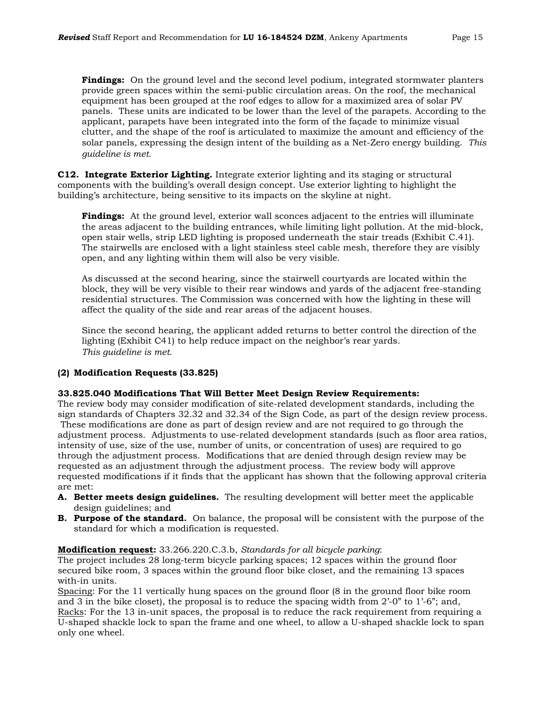**Findings:** On the ground level and the second level podium, integrated stormwater planters provide green spaces within the semi-public circulation areas. On the roof, the mechanical equipment has been grouped at the roof edges to allow for a maximized area of solar PV panels. These units are indicated to be lower than the level of the parapets. According to the applicant, parapets have been integrated into the form of the façade to minimize visual clutter, and the shape of the roof is articulated to maximize the amount and efficiency of the solar panels, expressing the design intent of the building as a Net-Zero energy building. *This guideline is met.*

**C12. Integrate Exterior Lighting.** Integrate exterior lighting and its staging or structural components with the building's overall design concept. Use exterior lighting to highlight the building's architecture, being sensitive to its impacts on the skyline at night.

**Findings:** At the ground level, exterior wall sconces adjacent to the entries will illuminate the areas adjacent to the building entrances, while limiting light pollution. At the mid-block, open stair wells, strip LED lighting is proposed underneath the stair treads (Exhibit C.41). The stairwells are enclosed with a light stainless steel cable mesh, therefore they are visibly open, and any lighting within them will also be very visible.

As discussed at the second hearing, since the stairwell courtyards are located within the block, they will be very visible to their rear windows and yards of the adjacent free-standing residential structures. The Commission was concerned with how the lighting in these will affect the quality of the side and rear areas of the adjacent houses.

Since the second hearing, the applicant added returns to better control the direction of the lighting (Exhibit C41) to help reduce impact on the neighbor's rear yards. *This guideline is met*.

# **(2) Modification Requests (33.825)**

#### **33.825.040 Modifications That Will Better Meet Design Review Requirements:**

The review body may consider modification of site-related development standards, including the sign standards of Chapters 32.32 and 32.34 of the Sign Code, as part of the design review process. These modifications are done as part of design review and are not required to go through the adjustment process. Adjustments to use-related development standards (such as floor area ratios, intensity of use, size of the use, number of units, or concentration of uses) are required to go through the adjustment process. Modifications that are denied through design review may be requested as an adjustment through the adjustment process. The review body will approve requested modifications if it finds that the applicant has shown that the following approval criteria are met:

- **A. Better meets design guidelines.** The resulting development will better meet the applicable design guidelines; and
- **B. Purpose of the standard.** On balance, the proposal will be consistent with the purpose of the standard for which a modification is requested.

#### **Modification request:** 33.266.220.C.3.b, *Standards for all bicycle parking*:

The project includes 28 long-term bicycle parking spaces; 12 spaces within the ground floor secured bike room, 3 spaces within the ground floor bike closet, and the remaining 13 spaces with-in units.

Spacing: For the 11 vertically hung spaces on the ground floor (8 in the ground floor bike room and 3 in the bike closet), the proposal is to reduce the spacing width from 2'-0" to 1'-6"; and, Racks: For the 13 in-unit spaces, the proposal is to reduce the rack requirement from requiring a U-shaped shackle lock to span the frame and one wheel, to allow a U-shaped shackle lock to span only one wheel.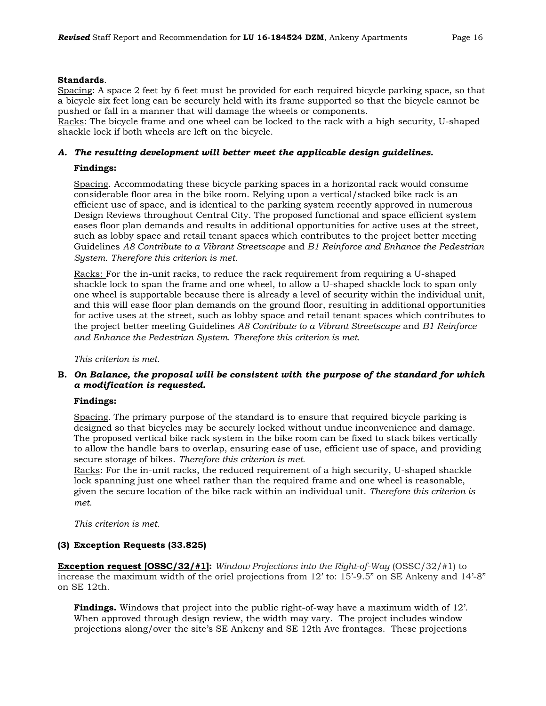#### **Standards**.

Spacing: A space 2 feet by 6 feet must be provided for each required bicycle parking space, so that a bicycle six feet long can be securely held with its frame supported so that the bicycle cannot be pushed or fall in a manner that will damage the wheels or components.

Racks: The bicycle frame and one wheel can be locked to the rack with a high security, U-shaped shackle lock if both wheels are left on the bicycle.

# *A. The resulting development will better meet the applicable design guidelines.*

#### **Findings:**

Spacing. Accommodating these bicycle parking spaces in a horizontal rack would consume considerable floor area in the bike room. Relying upon a vertical/stacked bike rack is an efficient use of space, and is identical to the parking system recently approved in numerous Design Reviews throughout Central City. The proposed functional and space efficient system eases floor plan demands and results in additional opportunities for active uses at the street, such as lobby space and retail tenant spaces which contributes to the project better meeting Guidelines *A8 Contribute to a Vibrant Streetscape* and *B1 Reinforce and Enhance the Pedestrian System*. *Therefore this criterion is met.*

Racks: For the in-unit racks, to reduce the rack requirement from requiring a U-shaped shackle lock to span the frame and one wheel, to allow a U-shaped shackle lock to span only one wheel is supportable because there is already a level of security within the individual unit, and this will ease floor plan demands on the ground floor, resulting in additional opportunities for active uses at the street, such as lobby space and retail tenant spaces which contributes to the project better meeting Guidelines *A8 Contribute to a Vibrant Streetscape* and *B1 Reinforce and Enhance the Pedestrian System*. *Therefore this criterion is met.*

#### *This criterion is met.*

#### **B.** *On Balance, the proposal will be consistent with the purpose of the standard for which a modification is requested.*

#### **Findings:**

Spacing*.* The primary purpose of the standard is to ensure that required bicycle parking is designed so that bicycles may be securely locked without undue inconvenience and damage. The proposed vertical bike rack system in the bike room can be fixed to stack bikes vertically to allow the handle bars to overlap, ensuring ease of use, efficient use of space, and providing secure storage of bikes. *Therefore this criterion is met.*

Racks: For the in-unit racks, the reduced requirement of a high security, U-shaped shackle lock spanning just one wheel rather than the required frame and one wheel is reasonable, given the secure location of the bike rack within an individual unit. *Therefore this criterion is met.*

*This criterion is met.*

#### **(3) Exception Requests (33.825)**

**Exception request [OSSC/32/#1]:** *Window Projections into the Right-of-Way* (OSSC/32/#1) to increase the maximum width of the oriel projections from 12' to: 15'-9.5" on SE Ankeny and 14'-8" on SE 12th.

**Findings.** Windows that project into the public right-of-way have a maximum width of 12'. When approved through design review, the width may vary. The project includes window projections along/over the site's SE Ankeny and SE 12th Ave frontages. These projections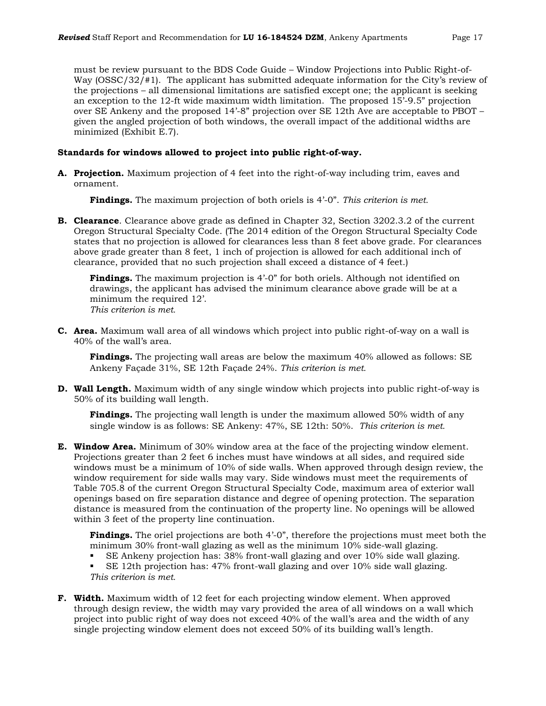must be review pursuant to the BDS Code Guide – Window Projections into Public Right-of-Way (OSSC/32/#1). The applicant has submitted adequate information for the City's review of the projections – all dimensional limitations are satisfied except one; the applicant is seeking an exception to the 12-ft wide maximum width limitation. The proposed 15'-9.5" projection over SE Ankeny and the proposed 14'-8" projection over SE 12th Ave are acceptable to PBOT – given the angled projection of both windows, the overall impact of the additional widths are minimized (Exhibit E.7).

#### **Standards for windows allowed to project into public right-of-way.**

**A. Projection.** Maximum projection of 4 feet into the right-of-way including trim, eaves and ornament.

**Findings.** The maximum projection of both oriels is 4'-0". *This criterion is met.*

**B. Clearance**. Clearance above grade as defined in Chapter 32, Section 3202.3.2 of the current Oregon Structural Specialty Code. (The 2014 edition of the Oregon Structural Specialty Code states that no projection is allowed for clearances less than 8 feet above grade. For clearances above grade greater than 8 feet, 1 inch of projection is allowed for each additional inch of clearance, provided that no such projection shall exceed a distance of 4 feet.)

**Findings.** The maximum projection is 4'-0" for both oriels. Although not identified on drawings, the applicant has advised the minimum clearance above grade will be at a minimum the required 12'. *This criterion is met.*

**C. Area.** Maximum wall area of all windows which project into public right-of-way on a wall is 40% of the wall's area.

**Findings.** The projecting wall areas are below the maximum 40% allowed as follows: SE Ankeny Façade 31%, SE 12th Façade 24%. *This criterion is met.*

**D. Wall Length.** Maximum width of any single window which projects into public right-of-way is 50% of its building wall length.

**Findings.** The projecting wall length is under the maximum allowed 50% width of any single window is as follows: SE Ankeny: 47%, SE 12th: 50%. *This criterion is met.*

**E. Window Area.** Minimum of 30% window area at the face of the projecting window element. Projections greater than 2 feet 6 inches must have windows at all sides, and required side windows must be a minimum of 10% of side walls. When approved through design review, the window requirement for side walls may vary. Side windows must meet the requirements of Table 705.8 of the current Oregon Structural Specialty Code, maximum area of exterior wall openings based on fire separation distance and degree of opening protection. The separation distance is measured from the continuation of the property line. No openings will be allowed within 3 feet of the property line continuation.

**Findings.** The oriel projections are both 4'-0", therefore the projections must meet both the minimum 30% front-wall glazing as well as the minimum 10% side-wall glazing.

- SE Ankeny projection has: 38% front-wall glazing and over 10% side wall glazing.
- SE 12th projection has: 47% front-wall glazing and over 10% side wall glazing. *This criterion is met.*
- **F. Width.** Maximum width of 12 feet for each projecting window element. When approved through design review, the width may vary provided the area of all windows on a wall which project into public right of way does not exceed 40% of the wall's area and the width of any single projecting window element does not exceed 50% of its building wall's length.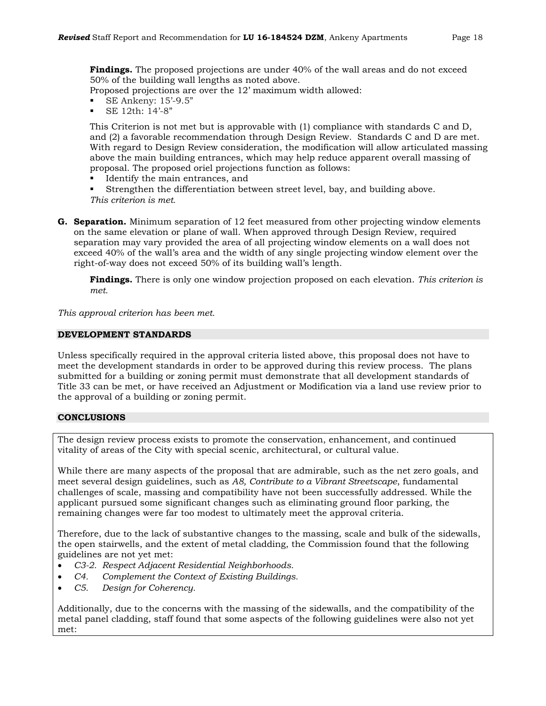**Findings.** The proposed projections are under 40% of the wall areas and do not exceed 50% of the building wall lengths as noted above.

Proposed projections are over the 12' maximum width allowed:

- SE Ankeny: 15'-9.5"
- SE 12th: 14'-8"

This Criterion is not met but is approvable with (1) compliance with standards C and D, and (2) a favorable recommendation through Design Review.Standards C and D are met. With regard to Design Review consideration, the modification will allow articulated massing above the main building entrances, which may help reduce apparent overall massing of proposal. The proposed oriel projections function as follows:

Identify the main entrances, and

 Strengthen the differentiation between street level, bay, and building above. *This criterion is met.*

**G. Separation.** Minimum separation of 12 feet measured from other projecting window elements on the same elevation or plane of wall. When approved through Design Review, required separation may vary provided the area of all projecting window elements on a wall does not exceed 40% of the wall's area and the width of any single projecting window element over the right-of-way does not exceed 50% of its building wall's length.

**Findings.** There is only one window projection proposed on each elevation. *This criterion is met.*

*This approval criterion has been met.*

#### **DEVELOPMENT STANDARDS**

Unless specifically required in the approval criteria listed above, this proposal does not have to meet the development standards in order to be approved during this review process. The plans submitted for a building or zoning permit must demonstrate that all development standards of Title 33 can be met, or have received an Adjustment or Modification via a land use review prior to the approval of a building or zoning permit.

# **CONCLUSIONS**

The design review process exists to promote the conservation, enhancement, and continued vitality of areas of the City with special scenic, architectural, or cultural value.

While there are many aspects of the proposal that are admirable, such as the net zero goals, and meet several design guidelines, such as *A8, Contribute to a Vibrant Streetscape*, fundamental challenges of scale, massing and compatibility have not been successfully addressed. While the applicant pursued some significant changes such as eliminating ground floor parking, the remaining changes were far too modest to ultimately meet the approval criteria.

Therefore, due to the lack of substantive changes to the massing, scale and bulk of the sidewalls, the open stairwells, and the extent of metal cladding, the Commission found that the following guidelines are not yet met:

- *C3-2. Respect Adjacent Residential Neighborhoods.*
- *C4. Complement the Context of Existing Buildings.*
- *C5. Design for Coherency.*

Additionally, due to the concerns with the massing of the sidewalls, and the compatibility of the metal panel cladding, staff found that some aspects of the following guidelines were also not yet met: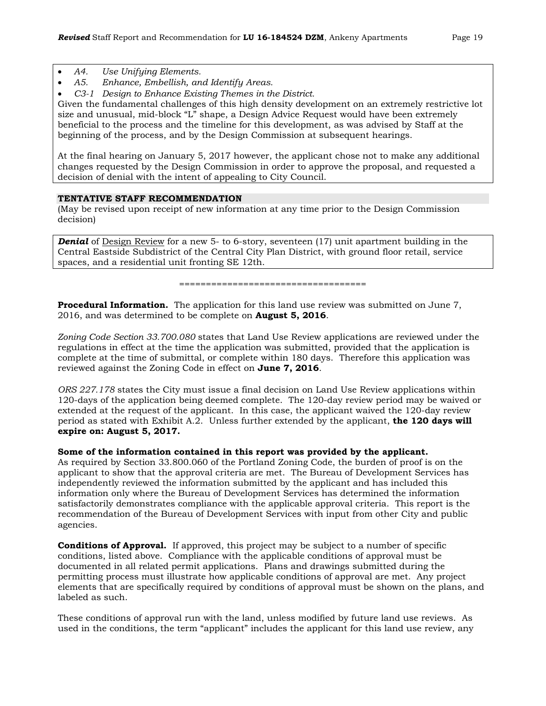- *A4. Use Unifying Elements.*
- *A5. Enhance, Embellish, and Identify Areas.*
- *C3-1 Design to Enhance Existing Themes in the District.*

Given the fundamental challenges of this high density development on an extremely restrictive lot size and unusual, mid-block "L" shape, a Design Advice Request would have been extremely beneficial to the process and the timeline for this development, as was advised by Staff at the beginning of the process, and by the Design Commission at subsequent hearings.

At the final hearing on January 5, 2017 however, the applicant chose not to make any additional changes requested by the Design Commission in order to approve the proposal, and requested a decision of denial with the intent of appealing to City Council.

#### **TENTATIVE STAFF RECOMMENDATION**

(May be revised upon receipt of new information at any time prior to the Design Commission decision)

**Denial** of Design Review for a new 5- to 6-story, seventeen (17) unit apartment building in the Central Eastside Subdistrict of the Central City Plan District, with ground floor retail, service spaces, and a residential unit fronting SE 12th.

===================================

**Procedural Information.** The application for this land use review was submitted on June 7, 2016, and was determined to be complete on **August 5, 2016**.

*Zoning Code Section 33.700.080* states that Land Use Review applications are reviewed under the regulations in effect at the time the application was submitted, provided that the application is complete at the time of submittal, or complete within 180 days. Therefore this application was reviewed against the Zoning Code in effect on **June 7, 2016**.

*ORS 227.178* states the City must issue a final decision on Land Use Review applications within 120-days of the application being deemed complete. The 120-day review period may be waived or extended at the request of the applicant. In this case, the applicant waived the 120-day review period as stated with Exhibit A.2. Unless further extended by the applicant, **the 120 days will expire on: August 5, 2017.**

#### **Some of the information contained in this report was provided by the applicant.**

As required by Section 33.800.060 of the Portland Zoning Code, the burden of proof is on the applicant to show that the approval criteria are met. The Bureau of Development Services has independently reviewed the information submitted by the applicant and has included this information only where the Bureau of Development Services has determined the information satisfactorily demonstrates compliance with the applicable approval criteria. This report is the recommendation of the Bureau of Development Services with input from other City and public agencies.

**Conditions of Approval.** If approved, this project may be subject to a number of specific conditions, listed above. Compliance with the applicable conditions of approval must be documented in all related permit applications. Plans and drawings submitted during the permitting process must illustrate how applicable conditions of approval are met. Any project elements that are specifically required by conditions of approval must be shown on the plans, and labeled as such.

These conditions of approval run with the land, unless modified by future land use reviews. As used in the conditions, the term "applicant" includes the applicant for this land use review, any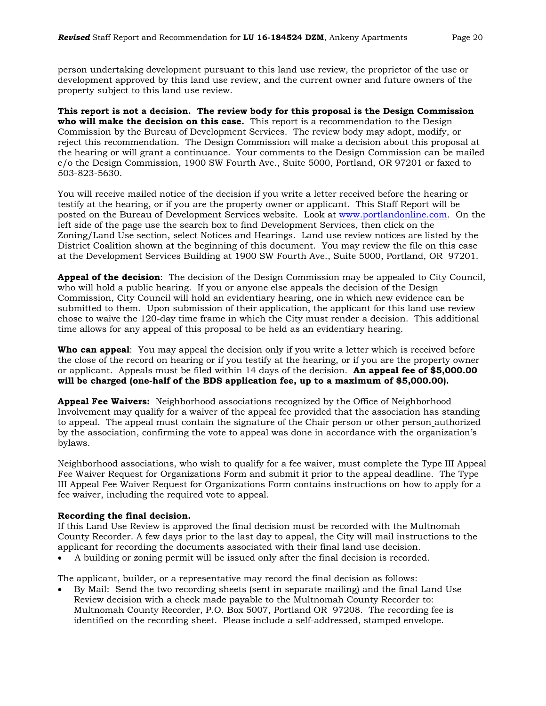person undertaking development pursuant to this land use review, the proprietor of the use or development approved by this land use review, and the current owner and future owners of the property subject to this land use review.

**This report is not a decision. The review body for this proposal is the Design Commission who will make the decision on this case.** This report is a recommendation to the Design Commission by the Bureau of Development Services. The review body may adopt, modify, or reject this recommendation. The Design Commission will make a decision about this proposal at the hearing or will grant a continuance. Your comments to the Design Commission can be mailed c/o the Design Commission, 1900 SW Fourth Ave., Suite 5000, Portland, OR 97201 or faxed to 503-823-5630.

You will receive mailed notice of the decision if you write a letter received before the hearing or testify at the hearing, or if you are the property owner or applicant. This Staff Report will be posted on the Bureau of Development Services website. Look at [www.portlandonline.com.](http://www.portlandonline.com/) On the left side of the page use the search box to find Development Services, then click on the Zoning/Land Use section, select Notices and Hearings. Land use review notices are listed by the District Coalition shown at the beginning of this document. You may review the file on this case at the Development Services Building at 1900 SW Fourth Ave., Suite 5000, Portland, OR 97201.

**Appeal of the decision**: The decision of the Design Commission may be appealed to City Council, who will hold a public hearing. If you or anyone else appeals the decision of the Design Commission, City Council will hold an evidentiary hearing, one in which new evidence can be submitted to them. Upon submission of their application, the applicant for this land use review chose to waive the 120-day time frame in which the City must render a decision. This additional time allows for any appeal of this proposal to be held as an evidentiary hearing.

**Who can appeal**: You may appeal the decision only if you write a letter which is received before the close of the record on hearing or if you testify at the hearing, or if you are the property owner or applicant. Appeals must be filed within 14 days of the decision. **An appeal fee of \$5,000.00 will be charged (one-half of the BDS application fee, up to a maximum of \$5,000.00).**

**Appeal Fee Waivers:** Neighborhood associations recognized by the Office of Neighborhood Involvement may qualify for a waiver of the appeal fee provided that the association has standing to appeal. The appeal must contain the signature of the Chair person or other person authorized by the association, confirming the vote to appeal was done in accordance with the organization's bylaws.

Neighborhood associations, who wish to qualify for a fee waiver, must complete the Type III Appeal Fee Waiver Request for Organizations Form and submit it prior to the appeal deadline. The Type III Appeal Fee Waiver Request for Organizations Form contains instructions on how to apply for a fee waiver, including the required vote to appeal.

#### **Recording the final decision.**

If this Land Use Review is approved the final decision must be recorded with the Multnomah County Recorder. A few days prior to the last day to appeal, the City will mail instructions to the applicant for recording the documents associated with their final land use decision.

• A building or zoning permit will be issued only after the final decision is recorded.

The applicant, builder, or a representative may record the final decision as follows:

• By Mail: Send the two recording sheets (sent in separate mailing) and the final Land Use Review decision with a check made payable to the Multnomah County Recorder to: Multnomah County Recorder, P.O. Box 5007, Portland OR 97208. The recording fee is identified on the recording sheet. Please include a self-addressed, stamped envelope.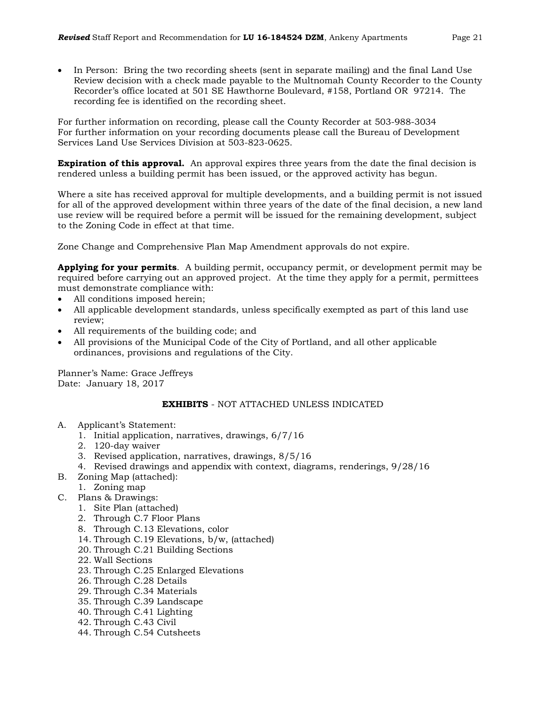• In Person: Bring the two recording sheets (sent in separate mailing) and the final Land Use Review decision with a check made payable to the Multnomah County Recorder to the County Recorder's office located at 501 SE Hawthorne Boulevard, #158, Portland OR 97214. The recording fee is identified on the recording sheet.

For further information on recording, please call the County Recorder at 503-988-3034 For further information on your recording documents please call the Bureau of Development Services Land Use Services Division at 503-823-0625.

**Expiration of this approval.** An approval expires three years from the date the final decision is rendered unless a building permit has been issued, or the approved activity has begun.

Where a site has received approval for multiple developments, and a building permit is not issued for all of the approved development within three years of the date of the final decision, a new land use review will be required before a permit will be issued for the remaining development, subject to the Zoning Code in effect at that time.

Zone Change and Comprehensive Plan Map Amendment approvals do not expire.

**Applying for your permits**. A building permit, occupancy permit, or development permit may be required before carrying out an approved project. At the time they apply for a permit, permittees must demonstrate compliance with:

- All conditions imposed herein;
- All applicable development standards, unless specifically exempted as part of this land use review;
- All requirements of the building code; and
- All provisions of the Municipal Code of the City of Portland, and all other applicable ordinances, provisions and regulations of the City.

Planner's Name: Grace Jeffreys Date: January 18, 2017

# **EXHIBITS** - NOT ATTACHED UNLESS INDICATED

- A. Applicant's Statement:
	- 1. Initial application, narratives, drawings, 6/7/16
	- 2. 120-day waiver
	- 3. Revised application, narratives, drawings, 8/5/16
	- 4. Revised drawings and appendix with context, diagrams, renderings, 9/28/16
- B. Zoning Map (attached):
	- 1. Zoning map
- C. Plans & Drawings:
	- 1. Site Plan (attached)
	- 2. Through C.7 Floor Plans
	- 8. Through C.13 Elevations, color
	- 14. Through C.19 Elevations, b/w, (attached)
	- 20. Through C.21 Building Sections
	- 22. Wall Sections
	- 23. Through C.25 Enlarged Elevations
	- 26. Through C.28 Details
	- 29. Through C.34 Materials
	- 35. Through C.39 Landscape
	- 40. Through C.41 Lighting
	- 42. Through C.43 Civil
	- 44. Through C.54 Cutsheets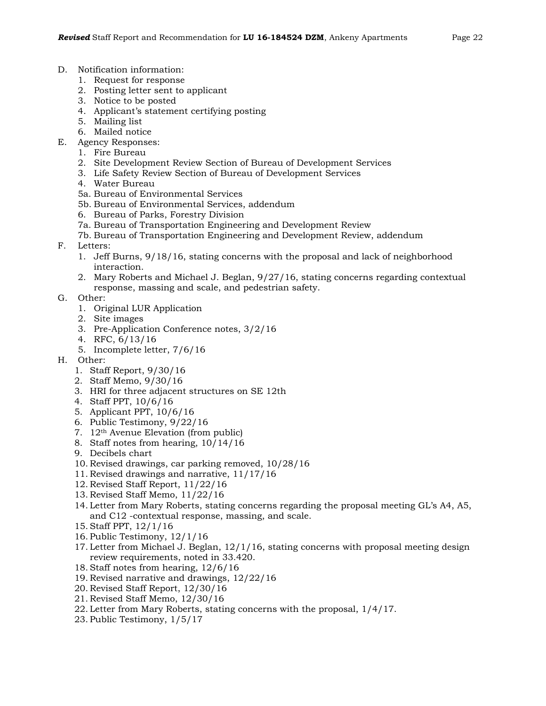- D. Notification information:
	- 1. Request for response
	- 2. Posting letter sent to applicant
	- 3. Notice to be posted
	- 4. Applicant's statement certifying posting
	- 5. Mailing list
	- 6. Mailed notice
- E. Agency Responses:
	- 1. Fire Bureau
	- 2. Site Development Review Section of Bureau of Development Services
	- 3. Life Safety Review Section of Bureau of Development Services
	- 4. Water Bureau
	- 5a. Bureau of Environmental Services
	- 5b. Bureau of Environmental Services, addendum
	- 6. Bureau of Parks, Forestry Division
	- 7a. Bureau of Transportation Engineering and Development Review
	- 7b. Bureau of Transportation Engineering and Development Review, addendum
- F. Letters:
	- 1. Jeff Burns, 9/18/16, stating concerns with the proposal and lack of neighborhood interaction.
	- 2. Mary Roberts and Michael J. Beglan, 9/27/16, stating concerns regarding contextual response, massing and scale, and pedestrian safety.
- G. Other:
	- 1. Original LUR Application
	- 2. Site images
	- 3. Pre-Application Conference notes, 3/2/16
	- 4. RFC, 6/13/16
	- 5. Incomplete letter, 7/6/16
- H. Other:
	- 1. Staff Report, 9/30/16
	- 2. Staff Memo, 9/30/16
	- 3. HRI for three adjacent structures on SE 12th
	- 4. Staff PPT, 10/6/16
	- 5. Applicant PPT, 10/6/16
	- 6. Public Testimony, 9/22/16
	- 7. 12th Avenue Elevation (from public)
	- 8. Staff notes from hearing, 10/14/16
	- 9. Decibels chart
	- 10. Revised drawings, car parking removed, 10/28/16
	- 11. Revised drawings and narrative, 11/17/16
	- 12. Revised Staff Report, 11/22/16
	- 13. Revised Staff Memo, 11/22/16
	- 14. Letter from Mary Roberts, stating concerns regarding the proposal meeting GL's A4, A5, and C12 -contextual response, massing, and scale.
	- 15. Staff PPT, 12/1/16
	- 16. Public Testimony, 12/1/16
	- 17. Letter from Michael J. Beglan,  $12/1/16$ , stating concerns with proposal meeting design review requirements, noted in 33.420.
	- 18. Staff notes from hearing, 12/6/16
	- 19. Revised narrative and drawings, 12/22/16
	- 20. Revised Staff Report, 12/30/16
	- 21. Revised Staff Memo, 12/30/16
	- 22. Letter from Mary Roberts, stating concerns with the proposal, 1/4/17.
	- 23. Public Testimony, 1/5/17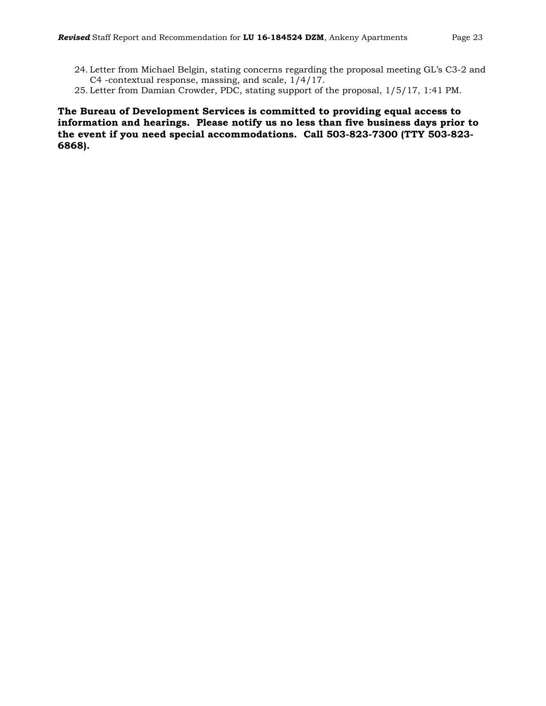- 24. Letter from Michael Belgin, stating concerns regarding the proposal meeting GL's C3-2 and C4 -contextual response, massing, and scale, 1/4/17.
- 25. Letter from Damian Crowder, PDC, stating support of the proposal, 1/5/17, 1:41 PM.

**The Bureau of Development Services is committed to providing equal access to information and hearings. Please notify us no less than five business days prior to the event if you need special accommodations. Call 503-823-7300 (TTY 503-823- 6868).**